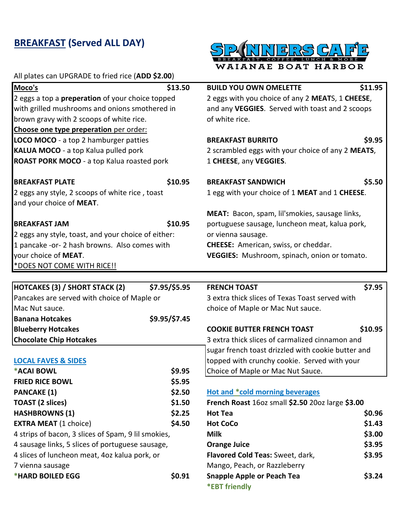## **BREAKFAST (Served ALL DAY)**



| All plates can UPGRADE to fried rice (ADD \$2.00)       |               |                                                   |         |
|---------------------------------------------------------|---------------|---------------------------------------------------|---------|
| Moco's                                                  | \$13.50       | <b>BUILD YOU OWN OMELETTE</b>                     | \$11.95 |
| 2 eggs a top a <b>preperation</b> of your choice topped |               | 2 eggs with you choice of any 2 MEATS, 1 CHEESE,  |         |
| with grilled mushrooms and onions smothered in          |               | and any VEGGIES. Served with toast and 2 scoops   |         |
| brown gravy with 2 scoops of white rice.                |               | of white rice.                                    |         |
| Choose one type preperation per order:                  |               |                                                   |         |
| <b>LOCO MOCO</b> - a top 2 hamburger patties            |               | <b>BREAKFAST BURRITO</b>                          | \$9.95  |
| <b>KALUA MOCO</b> - a top Kalua pulled pork             |               | 2 scrambled eggs with your choice of any 2 MEATS, |         |
| <b>ROAST PORK MOCO</b> - a top Kalua roasted pork       |               | 1 CHEESE, any VEGGIES.                            |         |
| <b>BREAKFAST PLATE</b>                                  | \$10.95       | <b>BREAKFAST SANDWICH</b>                         | \$5.50  |
| 2 eggs any style, 2 scoops of white rice, toast         |               | 1 egg with your choice of 1 MEAT and 1 CHEESE.    |         |
| and your choice of MEAT.                                |               |                                                   |         |
|                                                         |               | MEAT: Bacon, spam, lil'smokies, sausage links,    |         |
| <b>BREAKFAST JAM</b>                                    | \$10.95       | portuguese sausage, luncheon meat, kalua pork,    |         |
| 2 eggs any style, toast, and your choice of either:     |               | or vienna sausage.                                |         |
| 1 pancake -or- 2 hash browns. Also comes with           |               | <b>CHEESE:</b> American, swiss, or cheddar.       |         |
| your choice of MEAT.                                    |               | VEGGIES: Mushroom, spinach, onion or tomato.      |         |
| *DOES NOT COME WITH RICE!!                              |               |                                                   |         |
|                                                         |               |                                                   |         |
| <b>HOTCAKES (3) / SHORT STACK (2)</b>                   | \$7.95/\$5.95 | <b>FRENCH TOAST</b>                               | \$7.95  |

| HOTCAKES (3) / SHORT STACK (2)                      | \$7.95/\$5.95 | <b>FRENCH TOAST</b>                                | \$7.95  |
|-----------------------------------------------------|---------------|----------------------------------------------------|---------|
| Pancakes are served with choice of Maple or         |               | 3 extra thick slices of Texas Toast served with    |         |
| Mac Nut sauce.                                      |               | choice of Maple or Mac Nut sauce.                  |         |
| <b>Banana Hotcakes</b>                              | \$9.95/\$7.45 |                                                    |         |
| <b>Blueberry Hotcakes</b>                           |               | <b>COOKIE BUTTER FRENCH TOAST</b>                  | \$10.95 |
| <b>Chocolate Chip Hotcakes</b>                      |               | 3 extra thick slices of carmalized cinnamon and    |         |
|                                                     |               | sugar french toast drizzled with cookie butter and |         |
| <b>LOCAL FAVES &amp; SIDES</b>                      |               | topped with crunchy cookie. Served with your       |         |
| *ACAI BOWL                                          | \$9.95        | Choice of Maple or Mac Nut Sauce.                  |         |
| <b>FRIED RICE BOWL</b>                              | \$5.95        |                                                    |         |
| <b>PANCAKE (1)</b>                                  | \$2.50        | <b>Hot and *cold morning beverages</b>             |         |
| <b>TOAST (2 slices)</b>                             | \$1.50        | French Roast 160z small \$2.50 200z large \$3.00   |         |
| <b>HASHBROWNS (1)</b>                               | \$2.25        | <b>Hot Tea</b>                                     | \$0.96  |
| <b>EXTRA MEAT (1 choice)</b>                        | \$4.50        | <b>Hot CoCo</b>                                    | \$1.43  |
| 4 strips of bacon, 3 slices of Spam, 9 lil smokies, |               | <b>Milk</b>                                        | \$3.00  |
| 4 sausage links, 5 slices of portuguese sausage,    |               | <b>Orange Juice</b>                                | \$3.95  |
| 4 slices of luncheon meat, 4oz kalua pork, or       |               | Flavored Cold Teas: Sweet, dark,                   | \$3.95  |
| 7 vienna sausage                                    |               | Mango, Peach, or Razzleberry                       |         |
| *HARD BOILED EGG                                    | \$0.91        | <b>Snapple Apple or Peach Tea</b><br>*EBT friendly | \$3.24  |